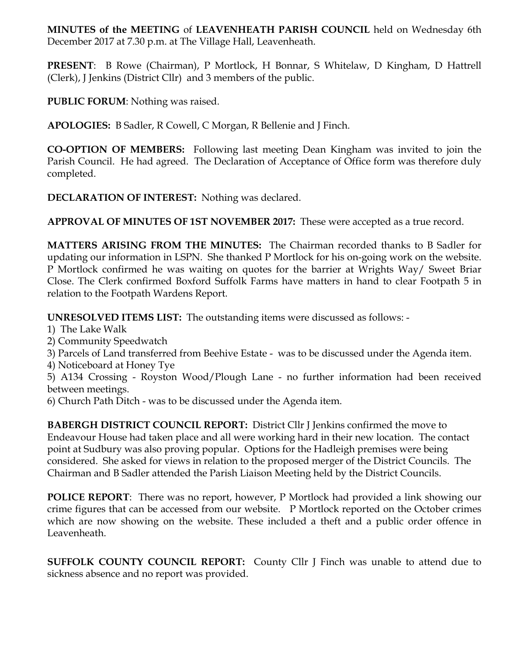**MINUTES of the MEETING** of **LEAVENHEATH PARISH COUNCIL** held on Wednesday 6th December 2017 at 7.30 p.m. at The Village Hall, Leavenheath.

**PRESENT**: B Rowe (Chairman), P Mortlock, H Bonnar, S Whitelaw, D Kingham, D Hattrell (Clerk), J Jenkins (District Cllr) and 3 members of the public.

**PUBLIC FORUM**: Nothing was raised.

**APOLOGIES:** B Sadler, R Cowell, C Morgan, R Bellenie and J Finch.

**CO-OPTION OF MEMBERS:** Following last meeting Dean Kingham was invited to join the Parish Council. He had agreed. The Declaration of Acceptance of Office form was therefore duly completed.

**DECLARATION OF INTEREST:** Nothing was declared.

**APPROVAL OF MINUTES OF 1ST NOVEMBER 2017:** These were accepted as a true record.

**MATTERS ARISING FROM THE MINUTES:** The Chairman recorded thanks to B Sadler for updating our information in LSPN. She thanked P Mortlock for his on-going work on the website. P Mortlock confirmed he was waiting on quotes for the barrier at Wrights Way/ Sweet Briar Close. The Clerk confirmed Boxford Suffolk Farms have matters in hand to clear Footpath 5 in relation to the Footpath Wardens Report.

**UNRESOLVED ITEMS LIST:** The outstanding items were discussed as follows: -

- 1) The Lake Walk
- 2) Community Speedwatch

3) Parcels of Land transferred from Beehive Estate - was to be discussed under the Agenda item.

4) Noticeboard at Honey Tye

5) A134 Crossing - Royston Wood/Plough Lane - no further information had been received between meetings.

6) Church Path Ditch - was to be discussed under the Agenda item.

**BABERGH DISTRICT COUNCIL REPORT:** District Cllr J Jenkins confirmed the move to Endeavour House had taken place and all were working hard in their new location. The contact point at Sudbury was also proving popular. Options for the Hadleigh premises were being considered. She asked for views in relation to the proposed merger of the District Councils. The Chairman and B Sadler attended the Parish Liaison Meeting held by the District Councils.

**POLICE REPORT**: There was no report, however, P Mortlock had provided a link showing our crime figures that can be accessed from our website. P Mortlock reported on the October crimes which are now showing on the website. These included a theft and a public order offence in Leavenheath.

**SUFFOLK COUNTY COUNCIL REPORT:** County Cllr J Finch was unable to attend due to sickness absence and no report was provided.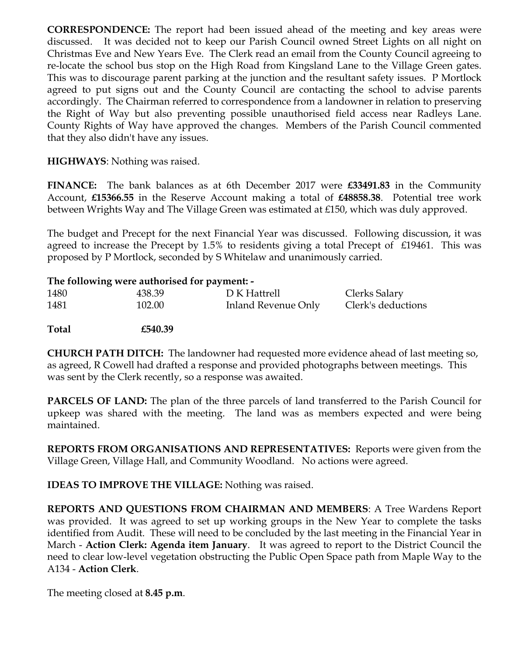**CORRESPONDENCE:** The report had been issued ahead of the meeting and key areas were discussed. It was decided not to keep our Parish Council owned Street Lights on all night on Christmas Eve and New Years Eve. The Clerk read an email from the County Council agreeing to re-locate the school bus stop on the High Road from Kingsland Lane to the Village Green gates. This was to discourage parent parking at the junction and the resultant safety issues. P Mortlock agreed to put signs out and the County Council are contacting the school to advise parents accordingly. The Chairman referred to correspondence from a landowner in relation to preserving the Right of Way but also preventing possible unauthorised field access near Radleys Lane. County Rights of Way have approved the changes. Members of the Parish Council commented that they also didn't have any issues.

## **HIGHWAYS**: Nothing was raised.

**FINANCE:** The bank balances as at 6th December 2017 were **£33491.83** in the Community Account, **£15366.55** in the Reserve Account making a total of **£48858.38**. Potential tree work between Wrights Way and The Village Green was estimated at £150, which was duly approved.

The budget and Precept for the next Financial Year was discussed. Following discussion, it was agreed to increase the Precept by 1.5% to residents giving a total Precept of £19461. This was proposed by P Mortlock, seconded by S Whitelaw and unanimously carried.

|       | The following were authorised for payment: - |                     |                    |
|-------|----------------------------------------------|---------------------|--------------------|
| 1480  | 438.39                                       | D K Hattrell        | Clerks Salary      |
| 1481  | 102.00                                       | Inland Revenue Only | Clerk's deductions |
| Total | £540.39                                      |                     |                    |

**CHURCH PATH DITCH:** The landowner had requested more evidence ahead of last meeting so, as agreed, R Cowell had drafted a response and provided photographs between meetings. This was sent by the Clerk recently, so a response was awaited.

**PARCELS OF LAND:** The plan of the three parcels of land transferred to the Parish Council for upkeep was shared with the meeting. The land was as members expected and were being maintained.

**REPORTS FROM ORGANISATIONS AND REPRESENTATIVES:** Reports were given from the Village Green, Village Hall, and Community Woodland. No actions were agreed.

**IDEAS TO IMPROVE THE VILLAGE:** Nothing was raised.

**REPORTS AND QUESTIONS FROM CHAIRMAN AND MEMBERS**: A Tree Wardens Report was provided. It was agreed to set up working groups in the New Year to complete the tasks identified from Audit. These will need to be concluded by the last meeting in the Financial Year in March - **Action Clerk: Agenda item January**. It was agreed to report to the District Council the need to clear low-level vegetation obstructing the Public Open Space path from Maple Way to the A134 - **Action Clerk**.

The meeting closed at **8.45 p.m**.